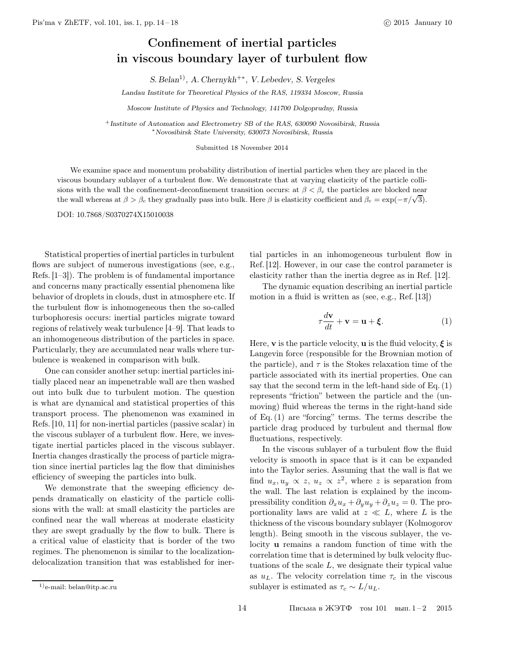## Confinement of inertial particles in viscous boundary layer of turbulent flow

S. Belan<sup>1)</sup>, A. Chernykh<sup>+∗</sup>, V. Lebedev, S. Vergeles

Landau Institute for Theoretical Physics of the RAS, 119334 Moscow, Russia

Moscow Institute of Physics and Technology, 141700 Dolgoprudny, Russia

<sup>+</sup>Institute of Automation and Electrometry SB of the RAS, 630090 Novosibirsk, Russia <sup>∗</sup>Novosibirsk State University, 630073 Novosibirsk, Russia

Submitted 18 November 2014

We examine space and momentum probability distribution of inertial particles when they are placed in the viscous boundary sublayer of a turbulent flow. We demonstrate that at varying elasticity of the particle collisions with the wall the confinement-deconfinement transition occurs: at  $\beta < \beta_c$  the particles are blocked near the wall whereas at  $\beta > \beta_c$  they gradually pass into bulk. Here  $\beta$  is elasticity coefficient and  $\beta_c = \exp(-\pi/\sqrt{3})$ .

DOI: 10.7868/S0370274X15010038

Statistical properties of inertial particles in turbulent flows are subject of numerous investigations (see, e.g., Refs. [1–3]). The problem is of fundamental importance and concerns many practically essential phenomena like behavior of droplets in clouds, dust in atmosphere etc. If the turbulent flow is inhomogeneous then the so-called turbophoresis occurs: inertial particles migrate toward regions of relatively weak turbulence [4–9]. That leads to an inhomogeneous distribution of the particles in space. Particularly, they are accumulated near walls where turbulence is weakened in comparison with bulk.

One can consider another setup: inertial particles initially placed near an impenetrable wall are then washed out into bulk due to turbulent motion. The question is what are dynamical and statistical properties of this transport process. The phenomenon was examined in Refs. [10, 11] for non-inertial particles (passive scalar) in the viscous sublayer of a turbulent flow. Here, we investigate inertial particles placed in the viscous sublayer. Inertia changes drastically the process of particle migration since inertial particles lag the flow that diminishes efficiency of sweeping the particles into bulk.

We demonstrate that the sweeping efficiency depends dramatically on elasticity of the particle collisions with the wall: at small elasticity the particles are confined near the wall whereas at moderate elasticity they are swept gradually by the flow to bulk. There is a critical value of elasticity that is border of the two regimes. The phenomenon is similar to the localizationdelocalization transition that was established for inertial particles in an inhomogeneous turbulent flow in Ref. [12]. However, in our case the control parameter is elasticity rather than the inertia degree as in Ref. [12].

The dynamic equation describing an inertial particle motion in a fluid is written as (see, e.g., Ref. [13])

$$
\tau \frac{d\mathbf{v}}{dt} + \mathbf{v} = \mathbf{u} + \boldsymbol{\xi}.
$$
 (1)

Here, **v** is the particle velocity, **u** is the fluid velocity,  $\xi$  is Langevin force (responsible for the Brownian motion of the particle), and  $\tau$  is the Stokes relaxation time of the particle associated with its inertial properties. One can say that the second term in the left-hand side of Eq. (1) represents "friction" between the particle and the (unmoving) fluid whereas the terms in the right-hand side of Eq. (1) are "forcing" terms. The terms describe the particle drag produced by turbulent and thermal flow fluctuations, respectively.

In the viscous sublayer of a turbulent flow the fluid velocity is smooth in space that is it can be expanded into the Taylor series. Assuming that the wall is flat we find  $u_x, u_y \propto z, u_z \propto z^2$ , where z is separation from the wall. The last relation is explained by the incompressibility condition  $\partial_x u_x + \partial_y u_y + \partial_z u_z = 0$ . The proportionality laws are valid at  $z \ll L$ , where L is the thickness of the viscous boundary sublayer (Kolmogorov length). Being smooth in the viscous sublayer, the velocity u remains a random function of time with the correlation time that is determined by bulk velocity fluctuations of the scale  $L$ , we designate their typical value as  $u_L$ . The velocity correlation time  $\tau_c$  in the viscous sublayer is estimated as  $\tau_c \sim L/u_L$ .

<sup>1)</sup>e-mail: belan@itp.ac.ru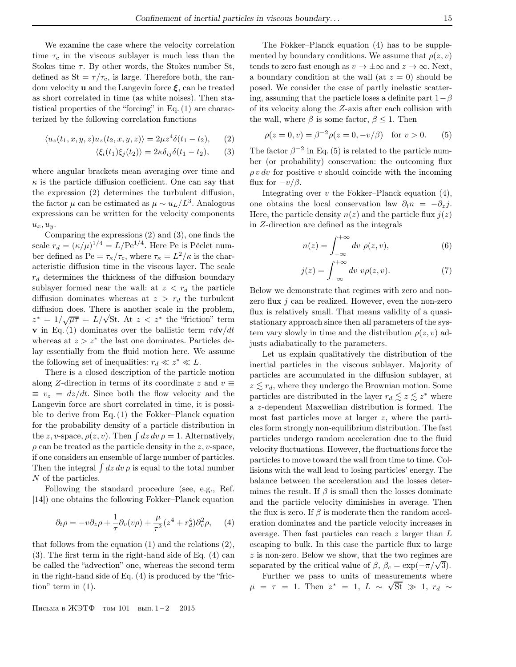We examine the case where the velocity correlation time  $\tau_c$  in the viscous sublayer is much less than the Stokes time  $\tau$ . By other words, the Stokes number St, defined as  $St = \tau/\tau_c$ , is large. Therefore both, the random velocity **u** and the Langevin force  $\xi$ , can be treated as short correlated in time (as white noises). Then statistical properties of the "forcing" in Eq. (1) are characterized by the following correlation functions

$$
\langle u_z(t_1, x, y, z)u_z(t_2, x, y, z)\rangle = 2\mu z^4 \delta(t_1 - t_2), \qquad (2)
$$

$$
\langle \xi_i(t_1)\xi_j(t_2)\rangle = 2\kappa \delta_{ij}\delta(t_1 - t_2),\qquad(3)
$$

where angular brackets mean averaging over time and  $\kappa$  is the particle diffusion coefficient. One can say that the expression (2) determines the turbulent diffusion, the factor  $\mu$  can be estimated as  $\mu \sim u_L/L^3$ . Analogous expressions can be written for the velocity components  $u_x, u_y$ .

Comparing the expressions (2) and (3), one finds the scale  $r_d = (\kappa/\mu)^{1/4} = L/\text{Pe}^{1/4}$ . Here Pe is Péclet number defined as Pe =  $\tau_{\kappa}/\tau_c$ , where  $\tau_{\kappa} = L^2/\kappa$  is the characteristic diffusion time in the viscous layer. The scale  $r_d$  determines the thickness of the diffusion boundary sublayer formed near the wall: at  $z < r_d$  the particle diffusion dominates whereas at  $z > r_d$  the turbulent diffusion does. There is another scale in the problem,  $z^* = 1/\sqrt{\mu\tau} = L/\sqrt{St}$ . At  $z < z^*$  the "friction" term **v** in Eq. (1) dominates over the ballistic term  $\tau d\mathbf{v}/dt$ whereas at  $z > z^*$  the last one dominates. Particles delay essentially from the fluid motion here. We assume the following set of inequalities:  $r_d \ll z^* \ll L$ .

There is a closed description of the particle motion along Z-direction in terms of its coordinate z and  $v \equiv$  $\equiv v_z = dz/dt$ . Since both the flow velocity and the Langevin force are short correlated in time, it is possible to derive from Eq. (1) the Fokker–Planck equation for the probability density of a particle distribution in the z, v-space,  $\rho(z, v)$ . Then  $\int dz dv \rho = 1$ . Alternatively,  $\rho$  can be treated as the particle density in the z, v-space, if one considers an ensemble of large number of particles. Then the integral  $\int dz dv \rho$  is equal to the total number N of the particles.

Following the standard procedure (see, e.g., Ref. [14]) one obtains the following Fokker–Planck equation

$$
\partial_t \rho = -v \partial_z \rho + \frac{1}{\tau} \partial_v (v \rho) + \frac{\mu}{\tau^2} (z^4 + r_d^4) \partial_v^2 \rho, \quad (4)
$$

that follows from the equation (1) and the relations (2), (3). The first term in the right-hand side of Eq. (4) can be called the "advection" one, whereas the second term in the right-hand side of Eq. (4) is produced by the "friction" term in (1).

The Fokker–Planck equation (4) has to be supplemented by boundary conditions. We assume that  $\rho(z, v)$ tends to zero fast enough as  $v \to \pm \infty$  and  $z \to \infty$ . Next, a boundary condition at the wall (at  $z = 0$ ) should be posed. We consider the case of partly inelastic scattering, assuming that the particle loses a definite part  $1-\beta$ of its velocity along the Z-axis after each collision with the wall, where  $\beta$  is some factor,  $\beta \leq 1$ . Then

$$
\rho(z = 0, v) = \beta^{-2} \rho(z = 0, -v/\beta)
$$
 for  $v > 0$ . (5)

The factor  $\beta^{-2}$  in Eq. (5) is related to the particle number (or probability) conservation: the outcoming flux  $\rho v dv$  for positive v should coincide with the incoming flux for  $-v/\beta$ .

Integrating over  $v$  the Fokker–Planck equation  $(4)$ , one obtains the local conservation law  $\partial_t n = -\partial_z j$ . Here, the particle density  $n(z)$  and the particle flux  $j(z)$ in Z-direction are defined as the integrals

$$
n(z) = \int_{-\infty}^{+\infty} dv \, \rho(z, v), \tag{6}
$$

$$
j(z) = \int_{-\infty}^{+\infty} dv \ v\rho(z, v). \tag{7}
$$

Below we demonstrate that regimes with zero and nonzero flux  $j$  can be realized. However, even the non-zero flux is relatively small. That means validity of a quasistationary approach since then all parameters of the system vary slowly in time and the distribution  $\rho(z, v)$  adjusts adiabatically to the parameters.

Let us explain qualitatively the distribution of the inertial particles in the viscous sublayer. Majority of particles are accumulated in the diffusion sublayer, at  $z \le r_d$ , where they undergo the Brownian motion. Some particles are distributed in the layer  $r_d \lesssim z \lesssim z^*$  where a z-dependent Maxwellian distribution is formed. The most fast particles move at larger z, where the particles form strongly non-equilibrium distribution. The fast particles undergo random acceleration due to the fluid velocity fluctuations. However, the fluctuations force the particles to move toward the wall from time to time. Collisions with the wall lead to losing particles' energy. The balance between the acceleration and the losses determines the result. If  $\beta$  is small then the losses dominate and the particle velocity diminishes in average. Then the flux is zero. If  $\beta$  is moderate then the random acceleration dominates and the particle velocity increases in average. Then fast particles can reach  $z$  larger than  $L$ escaping to bulk. In this case the particle flux to large z is non-zero. Below we show, that the two regimes are separated by the critical value of  $\beta$ ,  $\beta_c = \exp(-\pi/\sqrt{3})$ .

Further we pass to units of measurements where  $μ = τ = 1$ . Then  $z^* = 1$ ,  $L ~ \sim \sqrt{St} \gg 1$ ,  $r_d ~ \sim$ 

Письма в ЖЭТФ том 101 вып.  $1-2$  2015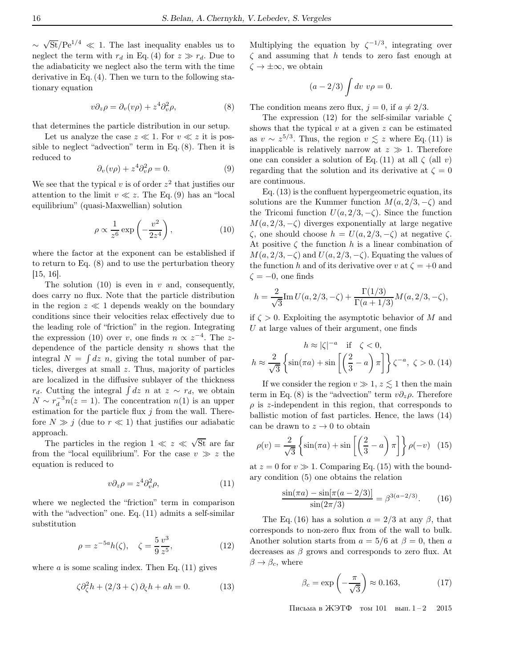∼  $\sqrt{St}/\mathrm{Pe}^{1/4} \ll 1$ . The last inequality enables us to neglect the term with  $r_d$  in Eq. (4) for  $z \gg r_d$ . Due to the adiabaticity we neglect also the term with the time derivative in Eq. (4). Then we turn to the following stationary equation

$$
v\partial_z \rho = \partial_v (v\rho) + z^4 \partial_v^2 \rho, \tag{8}
$$

that determines the particle distribution in our setup.

Let us analyze the case  $z \ll 1$ . For  $v \ll z$  it is possible to neglect "advection" term in Eq.  $(8)$ . Then it is reduced to

$$
\partial_v(v\rho) + z^4 \partial_v^2 \rho = 0. \tag{9}
$$

We see that the typical  $v$  is of order  $z^2$  that justifies our attention to the limit  $v \ll z$ . The Eq. (9) has an "local equilibrium" (quasi-Maxwellian) solution

$$
\rho \propto \frac{1}{z^6} \exp\left(-\frac{v^2}{2z^4}\right),\tag{10}
$$

where the factor at the exponent can be established if to return to Eq. (8) and to use the perturbation theory [15, 16].

The solution  $(10)$  is even in v and, consequently, does carry no flux. Note that the particle distribution in the region  $z \ll 1$  depends weakly on the boundary conditions since their velocities relax effectively due to the leading role of "friction" in the region. Integrating the expression (10) over v, one finds  $n \propto z^{-4}$ . The zdependence of the particle density  $n$  shows that the integral  $N = \int dz \, n$ , giving the total number of particles, diverges at small z. Thus, majority of particles are localized in the diffusive sublayer of the thickness  $r_d$ . Cutting the integral  $\int dz \, n$  at  $z \sim r_d$ , we obtain  $\overline{N} \sim r_d^{-3} n(z=1)$ . The concentration  $n(1)$  is an upper estimation for the particle flux  $j$  from the wall. Therefore  $N \gg j$  (due to  $r \ll 1$ ) that justifies our adiabatic approach.

The particles in the region  $1 \ll z \ll \sqrt{St}$  are far from the "local equilibrium". For the case  $v \gg z$  the equation is reduced to

$$
v\partial_z \rho = z^4 \partial_v^2 \rho,\tag{11}
$$

where we neglected the "friction" term in comparison with the "advection" one. Eq. (11) admits a self-similar substitution

$$
\rho = z^{-5a} h(\zeta), \quad \zeta = \frac{5}{9} \frac{v^3}{z^5}, \tag{12}
$$

where  $a$  is some scaling index. Then Eq.  $(11)$  gives

$$
\zeta \partial_{\zeta}^2 h + (2/3 + \zeta) \partial_{\zeta} h + ah = 0. \tag{13}
$$

Multiplying the equation by  $\zeta^{-1/3}$ , integrating over  $\zeta$  and assuming that h tends to zero fast enough at  $\zeta \to \pm \infty$ , we obtain

$$
(a-2/3)\int dv\ v\rho=0.
$$

The condition means zero flux,  $j = 0$ , if  $a \neq 2/3$ .

The expression (12) for the self-similar variable  $\zeta$ shows that the typical  $v$  at a given  $z$  can be estimated as  $v \sim z^{5/3}$ . Thus, the region  $v \lesssim z$  where Eq. (11) is inapplicable is relatively narrow at  $z \gg 1$ . Therefore one can consider a solution of Eq. (11) at all  $\zeta$  (all v) regarding that the solution and its derivative at  $\zeta = 0$ are continuous.

Eq. (13) is the confluent hypergeometric equation, its solutions are the Kummer function  $M(a, 2/3, -\zeta)$  and the Tricomi function  $U(a, 2/3, -\zeta)$ . Since the function  $M(a, 2/3, -\zeta)$  diverges exponentially at large negative ζ, one should choose h = U(a, 2/3, −ζ) at negative ζ. At positive  $\zeta$  the function h is a linear combination of  $M(a, 2/3, -\zeta)$  and  $U(a, 2/3, -\zeta)$ . Equating the values of the function h and of its derivative over v at  $\zeta = +0$  and  $\zeta = -0$ , one finds

$$
h = \frac{2}{\sqrt{3}} \text{Im } U(a, 2/3, -\zeta) + \frac{\Gamma(1/3)}{\Gamma(a + 1/3)} M(a, 2/3, -\zeta),
$$

if  $\zeta > 0$ . Exploiting the asymptotic behavior of M and  $U$  at large values of their argument, one finds

$$
h \approx |\zeta|^{-a} \quad \text{if} \quad \zeta < 0,
$$
\n
$$
h \approx \frac{2}{\sqrt{3}} \left\{ \sin(\pi a) + \sin\left[\left(\frac{2}{3} - a\right)\pi\right] \right\} \zeta^{-a}, \ \zeta > 0. \ (14)
$$

If we consider the region  $v \gg 1$ ,  $z \lesssim 1$  then the main term in Eq. (8) is the "advection" term  $v\partial_z \rho$ . Therefore  $\rho$  is z-independent in this region, that corresponds to ballistic motion of fast particles. Hence, the laws (14) can be drawn to  $z \to 0$  to obtain

$$
\rho(v) = \frac{2}{\sqrt{3}} \left\{ \sin(\pi a) + \sin\left[\left(\frac{2}{3} - a\right)\pi\right] \right\} \rho(-v) \tag{15}
$$

at  $z = 0$  for  $v \gg 1$ . Comparing Eq. (15) with the boundary condition (5) one obtains the relation

$$
\frac{\sin(\pi a) - \sin[\pi(a - 2/3)]}{\sin(2\pi/3)} = \beta^{3(a - 2/3)}.
$$
 (16)

The Eq. (16) has a solution  $a = 2/3$  at any  $\beta$ , that corresponds to non-zero flux from of the wall to bulk. Another solution starts from  $a = 5/6$  at  $\beta = 0$ , then a decreases as  $\beta$  grows and corresponds to zero flux. At  $\beta \rightarrow \beta_c$ , where

$$
\beta_c = \exp\left(-\frac{\pi}{\sqrt{3}}\right) \approx 0.163,\tag{17}
$$

Письма в ЖЭТФ том 101 вып.  $1-2$  2015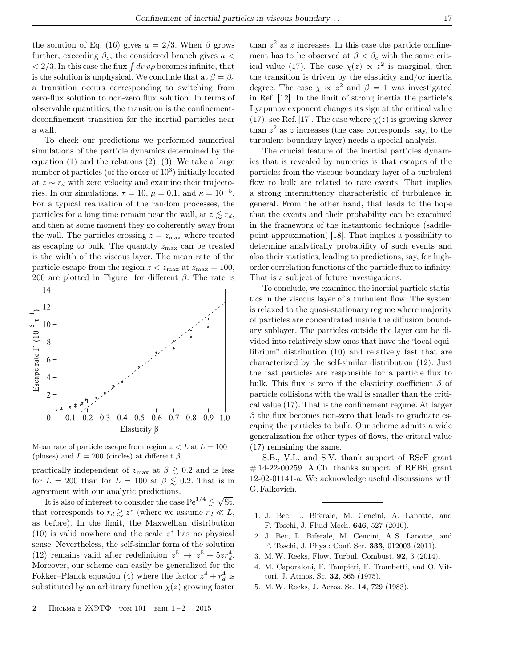the solution of Eq. (16) gives  $a = 2/3$ . When  $\beta$  grows further, exceeding  $\beta_c$ , the considered branch gives  $a <$  $\langle 2/3.$  In this case the flux  $\int dv v \rho$  becomes infinite, that is the solution is unphysical. We conclude that at  $\beta = \beta_c$ a transition occurs corresponding to switching from zero-flux solution to non-zero flux solution. In terms of observable quantities, the transition is the confinementdeconfinement transition for the inertial particles near a wall.

To check our predictions we performed numerical simulations of the particle dynamics determined by the equation  $(1)$  and the relations  $(2)$ ,  $(3)$ . We take a large number of particles (of the order of  $10^3$ ) initially located at  $z \sim r_d$  with zero velocity and examine their trajectories. In our simulations,  $\tau = 10$ ,  $\mu = 0.1$ , and  $\kappa = 10^{-5}$ . For a typical realization of the random processes, the particles for a long time remain near the wall, at  $z \lesssim r_d$ , and then at some moment they go coherently away from the wall. The particles crossing  $z = z_{\text{max}}$  where treated as escaping to bulk. The quantity  $z_{\text{max}}$  can be treated is the width of the viscous layer. The mean rate of the particle escape from the region  $z < z_{\text{max}}$  at  $z_{\text{max}} = 100$ , 200 are plotted in Figure for different  $\beta$ . The rate is



Mean rate of particle escape from region  $z < L$  at  $L = 100$ (pluses) and  $L = 200$  (circles) at different  $\beta$ 

practically independent of  $z_{\text{max}}$  at  $\beta \gtrsim 0.2$  and is less for  $L = 200$  than for  $L = 100$  at  $\beta \lesssim 0.2$ . That is in agreement with our analytic predictions.

It is also of interest to consider the case  $\text{Pe}^{1/4} \lesssim \sqrt{\text{St}}$ , that corresponds to  $r_d \gtrsim z^*$  (where we assume  $r_d \ll L$ , as before). In the limit, the Maxwellian distribution (10) is valid nowhere and the scale  $z^*$  has no physical sense. Nevertheless, the self-similar form of the solution (12) remains valid after redefinition  $z^5 \rightarrow z^5 + 5zr_d^4$ . Moreover, our scheme can easily be generalized for the Fokker–Planck equation (4) where the factor  $z^4 + r_d^4$  is substituted by an arbitrary function  $\chi(z)$  growing faster

than  $z^2$  as z increases. In this case the particle confinement has to be observed at  $\beta < \beta_c$  with the same critical value (17). The case  $\chi(z) \propto z^2$  is marginal, then the transition is driven by the elasticity and/or inertia degree. The case  $\chi \propto z^2$  and  $\beta = 1$  was investigated in Ref. [12]. In the limit of strong inertia the particle's Lyapunov exponent changes its sign at the critical value (17), see Ref. [17]. The case where  $\chi(z)$  is growing slower than  $z^2$  as z increases (the case corresponds, say, to the turbulent boundary layer) needs a special analysis.

The crucial feature of the inertial particles dynamics that is revealed by numerics is that escapes of the particles from the viscous boundary layer of a turbulent flow to bulk are related to rare events. That implies a strong intermittency characteristic of turbulence in general. From the other hand, that leads to the hope that the events and their probability can be examined in the framework of the instantonic technique (saddlepoint approximation) [18]. That implies a possibility to determine analytically probability of such events and also their statistics, leading to predictions, say, for highorder correlation functions of the particle flux to infinity. That is a subject of future investigations.

To conclude, we examined the inertial particle statistics in the viscous layer of a turbulent flow. The system is relaxed to the quasi-stationary regime where majority of particles are concentrated inside the diffusion boundary sublayer. The particles outside the layer can be divided into relatively slow ones that have the "local equilibrium" distribution (10) and relatively fast that are characterized by the self-similar distribution (12). Just the fast particles are responsible for a particle flux to bulk. This flux is zero if the elasticity coefficient  $\beta$  of particle collisions with the wall is smaller than the critical value (17). That is the confinement regime. At larger  $\beta$  the flux becomes non-zero that leads to graduate escaping the particles to bulk. Our scheme admits a wide generalization for other types of flows, the critical value (17) remaining the same.

S.B., V.L. and S.V. thank support of RScF grant  $\#$  14-22-00259. A.Ch. thanks support of RFBR grant 12-02-01141-a. We acknowledge useful discussions with G. Falkovich.

- 1. J. Bec, L. Biferale, M. Cencini, A. Lanotte, and F. Toschi, J. Fluid Mech. 646, 527 (2010).
- 2. J. Bec, L. Biferale, M. Cencini, A. S. Lanotte, and F. Toschi, J. Phys.: Conf. Ser. 333, 012003 (2011).
- 3. M.W. Reeks, Flow, Turbul. Combust. 92, 3 (2014).
- 4. M. Caporaloni, F. Tampieri, F. Trombetti, and O. Vittori, J. Atmos. Sc. 32, 565 (1975).
- 5. M.W. Reeks, J. Aeros. Sc. 14, 729 (1983).